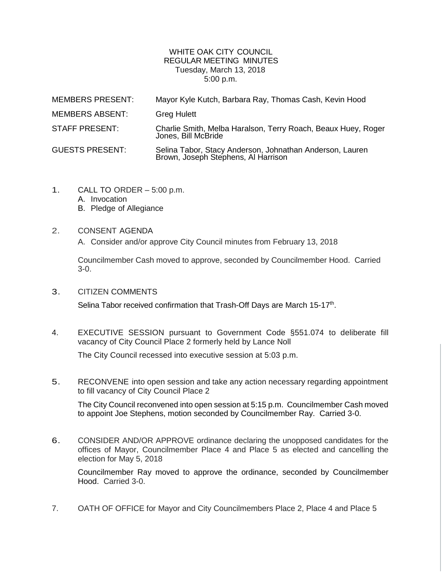## WHITE OAK CITY COUNCIL REGULAR MEETING MINUTES Tuesday, March 13, 2018 5:00 p.m.

| <b>MEMBERS PRESENT:</b> | Mayor Kyle Kutch, Barbara Ray, Thomas Cash, Kevin Hood                                          |
|-------------------------|-------------------------------------------------------------------------------------------------|
| <b>MEMBERS ABSENT:</b>  | <b>Greg Hulett</b>                                                                              |
| STAFF PRESENT:          | Charlie Smith, Melba Haralson, Terry Roach, Beaux Huey, Roger<br>Jones, Bill McBride            |
| <b>GUESTS PRESENT:</b>  | Selina Tabor, Stacy Anderson, Johnathan Anderson, Lauren<br>Brown, Joseph Stephens, Al Harrison |

- 1. CALL TO ORDER 5:00 p.m.
	- A. Invocation
	- B. Pledge of Allegiance
- 2. CONSENT AGENDA
	- A. Consider and/or approve City Council minutes from February 13, 2018

Councilmember Cash moved to approve, seconded by Councilmember Hood. Carried 3-0.

3. CITIZEN COMMENTS

Selina Tabor received confirmation that Trash-Off Days are March 15-17<sup>th</sup>.

4. EXECUTIVE SESSION pursuant to Government Code §551.074 to deliberate fill vacancy of City Council Place 2 formerly held by Lance Noll

The City Council recessed into executive session at 5:03 p.m.

5. RECONVENE into open session and take any action necessary regarding appointment to fill vacancy of City Council Place 2

The City Council reconvened into open session at 5:15 p.m. Councilmember Cash moved to appoint Joe Stephens, motion seconded by Councilmember Ray. Carried 3-0.

6. CONSIDER AND/OR APPROVE ordinance declaring the unopposed candidates for the offices of Mayor, Councilmember Place 4 and Place 5 as elected and cancelling the election for May 5, 2018

Councilmember Ray moved to approve the ordinance, seconded by Councilmember Hood. Carried 3-0.

7. OATH OF OFFICE for Mayor and City Councilmembers Place 2, Place 4 and Place 5